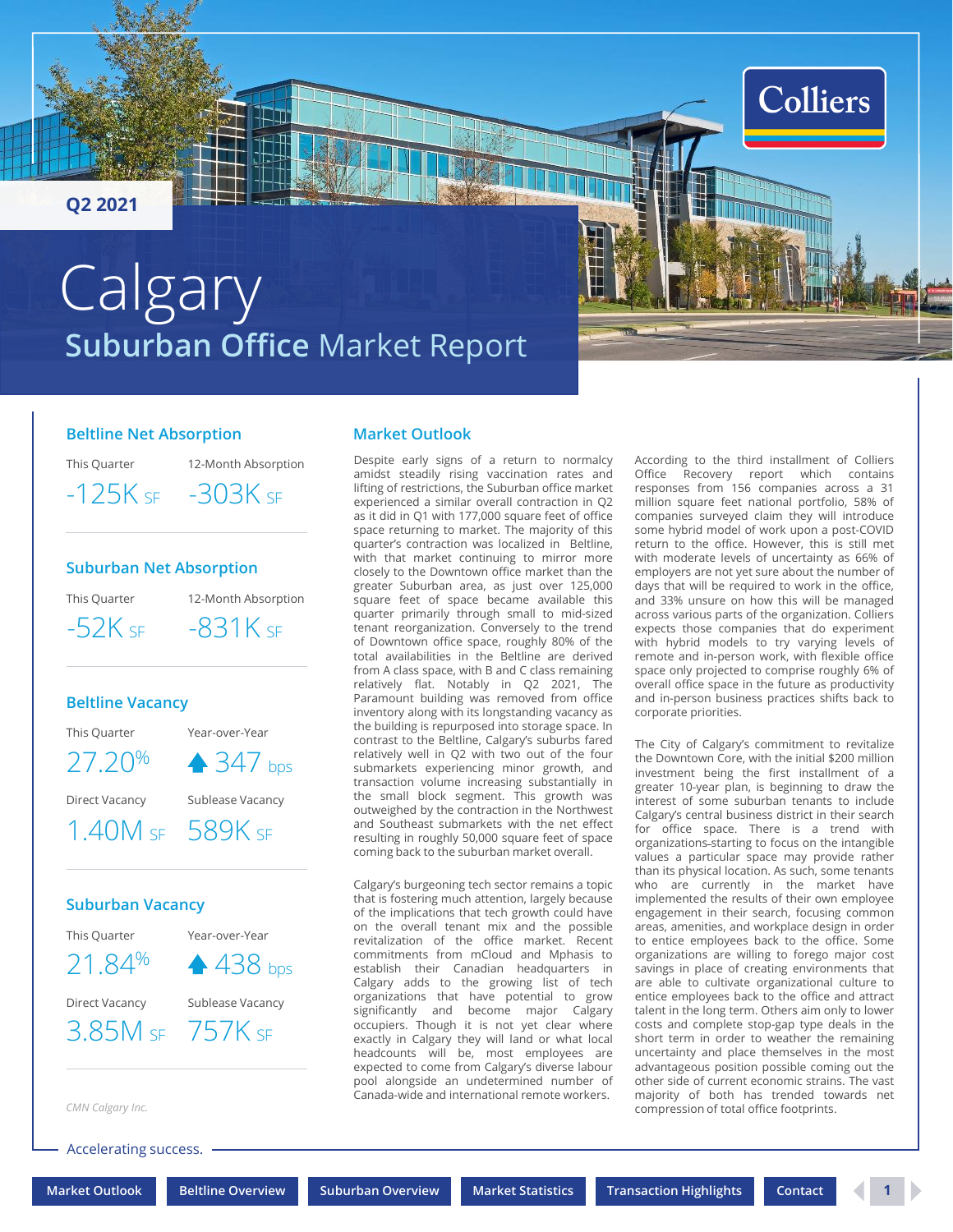<span id="page-0-0"></span>**Q2 2021**

# **Suburban Office** Market Report **Calgary**

### **Beltline Net Absorption**

This Quarter

 $-125K$  SF  $-303K$  SF

12-Month Absorption

### **Suburban Net Absorption**

This Quarter

12-Month Absorption  $-52K$  sf  $-831K$  sf

### **Beltline Vacancy**

This Quarter Year-over-Year

27.20<sup>%</sup> ↑ 347 bps

Direct Vacancy Sublease Vacancy

1.40M SF 589K SF

### **Suburban Vacancy**

This Quarter

Year-over-Year 21.84% ▲ 438 bps

Direct Vacancy Sublease Vacancy

3.85M SF 757K SF

*CMN Calgary Inc.*

Accelerating success.

**[Market Outlook](#page-0-0) [Beltline Overview](#page-1-0) [Suburban Overview](#page-2-0) [Market Statistics](#page-3-0) [Transaction Highlights](#page-3-0) [Contact](#page-4-0) 1**

Despite early signs of a return to normalcy

**Market Outlook**

amidst steadily rising vaccination rates and lifting of restrictions, the Suburban office market experienced a similar overall contraction in Q2 as it did in Q1 with 177,000 square feet of office space returning to market. The majority of this quarter's contraction was localized in Beltline, with that market continuing to mirror more closely to the Downtown office market than the greater Suburban area, as just over 125,000 square feet of space became available this quarter primarily through small to mid-sized tenant reorganization. Conversely to the trend of Downtown office space, roughly 80% of the total availabilities in the Beltline are derived from A class space, with B and C class remaining relatively flat. Notably in Q2 2021, The Paramount building was removed from office inventory along with its longstanding vacancy as the building is repurposed into storage space. In contrast to the Beltline, Calgary's suburbs fared relatively well in Q2 with two out of the four submarkets experiencing minor growth, and transaction volume increasing substantially in the small block segment. This growth was outweighed by the contraction in the Northwest and Southeast submarkets with the net effect resulting in roughly 50,000 square feet of space coming back to the suburban market overall.

Calgary's burgeoning tech sector remains a topic that is fostering much attention, largely because of the implications that tech growth could have on the overall tenant mix and the possible revitalization of the office market. Recent commitments from mCloud and Mphasis to establish their Canadian headquarters in Calgary adds to the growing list of tech organizations that have potential to grow significantly and become major Calgary occupiers. Though it is not yet clear where exactly in Calgary they will land or what local headcounts will be, most employees are expected to come from Calgary's diverse labour pool alongside an undetermined number of Canada-wide and international remote workers.

According to the third installment of Colliers Office Recovery report which contains responses from 156 companies across a 31 million square feet national portfolio, 58% of companies surveyed claim they will introduce some hybrid model of work upon a post-COVID return to the office. However, this is still met with moderate levels of uncertainty as 66% of employers are not yet sure about the number of days that will be required to work in the office, and 33% unsure on how this will be managed across various parts of the organization. Colliers expects those companies that do experiment with hybrid models to try varying levels of remote and in-person work, with flexible office space only projected to comprise roughly 6% of overall office space in the future as productivity and in-person business practices shifts back to corporate priorities.

**Colliers** 

The City of Calgary's commitment to revitalize the Downtown Core, with the initial \$200 million investment being the first installment of a greater 10-year plan, is beginning to draw the interest of some suburban tenants to include Calgary's central business district in their search for office space. There is a trend with organizations starting to focus on the intangible values a particular space may provide rather than its physical location. As such, some tenants who are currently in the market have implemented the results of their own employee engagement in their search, focusing common areas, amenities, and workplace design in order to entice employees back to the office. Some organizations are willing to forego major cost savings in place of creating environments that are able to cultivate organizational culture to entice employees back to the office and attract talent in the long term. Others aim only to lower costs and complete stop-gap type deals in the short term in order to weather the remaining uncertainty and place themselves in the most advantageous position possible coming out the other side of current economic strains. The vast majority of both has trended towards net compression of total office footprints.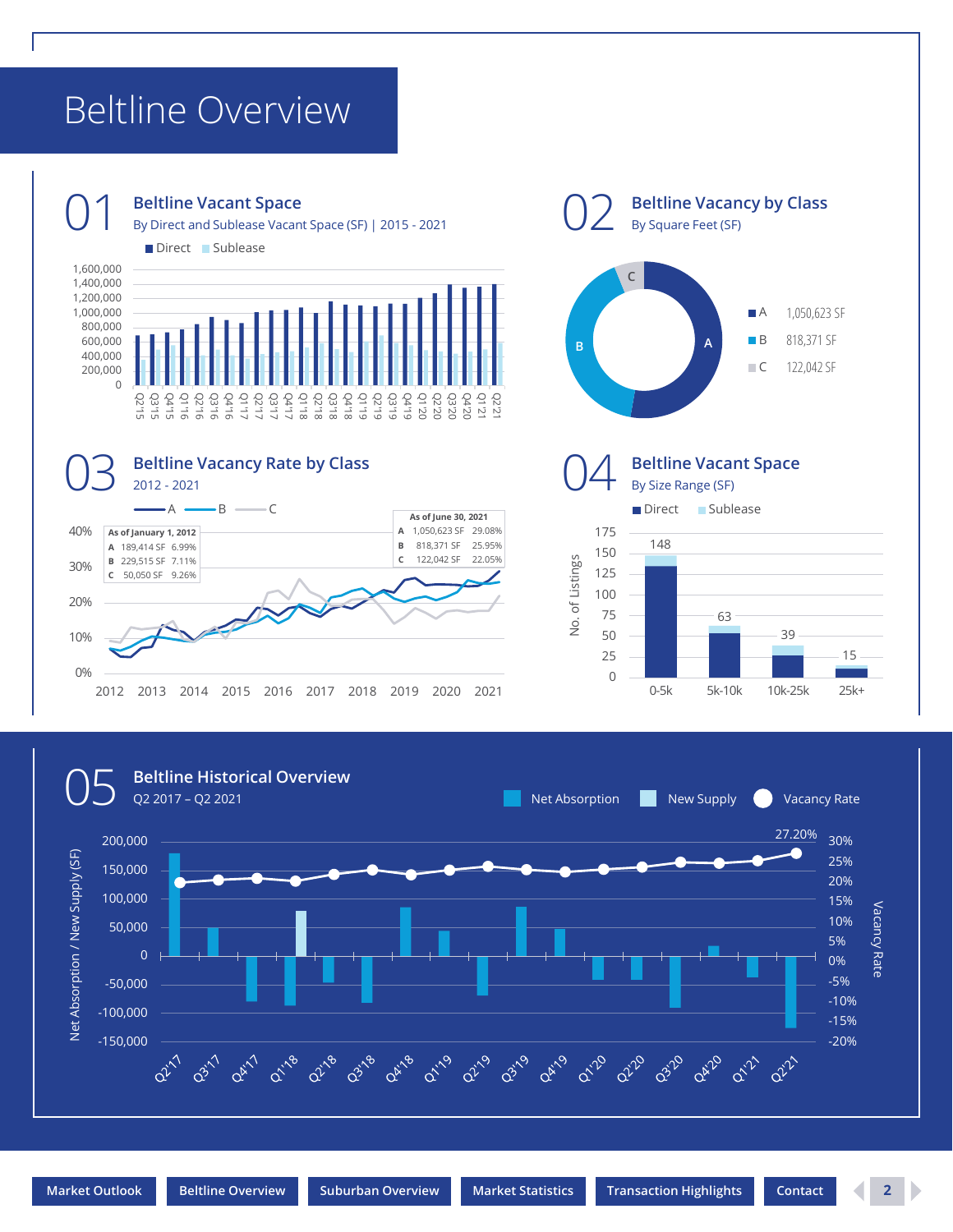## <span id="page-1-0"></span>Beltline Overview

Direct Sublease









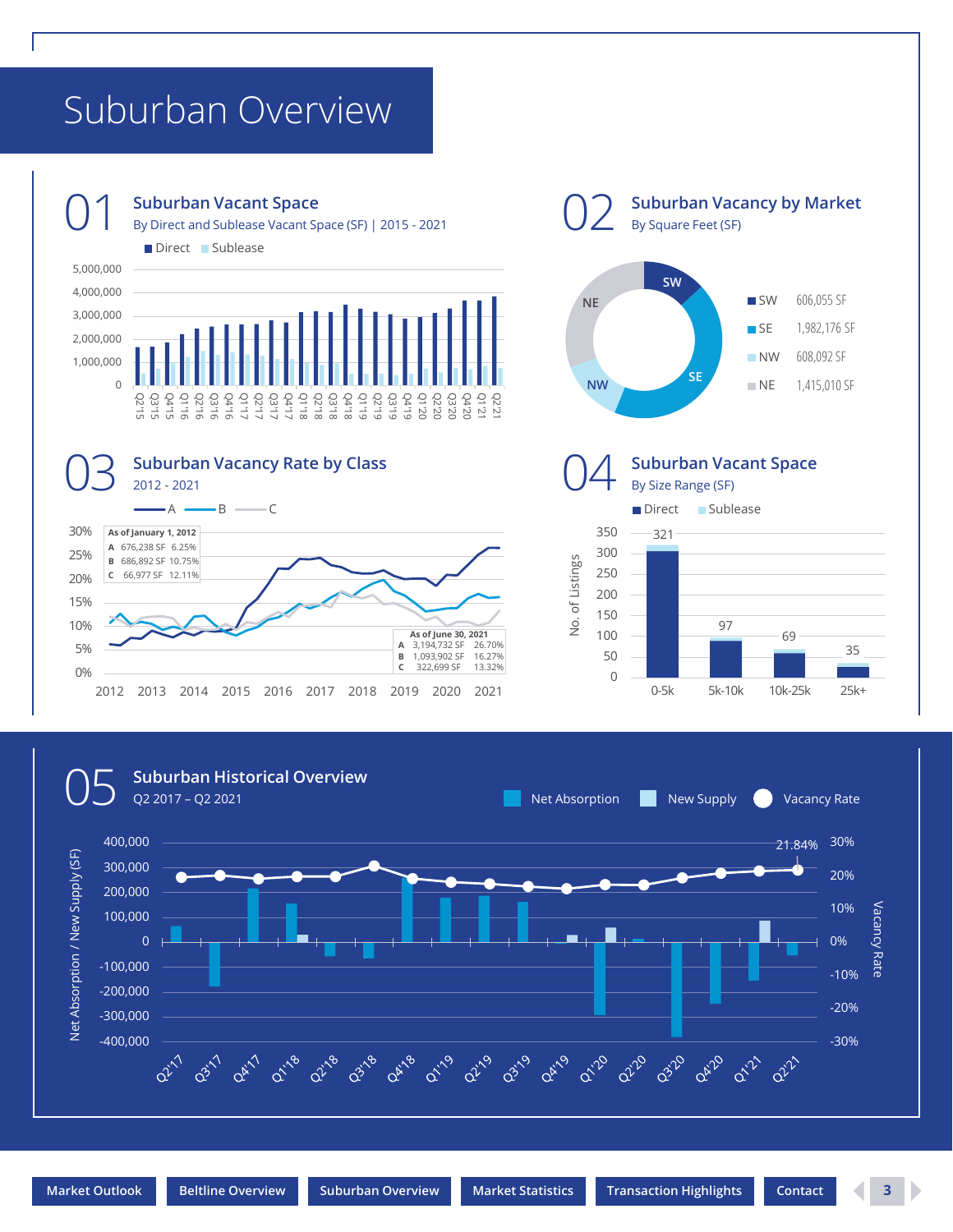## <span id="page-2-0"></span>Suburban Overview



### **Suburban Vacant Space**

O 1 Suburban Vacant Space<br>
By Direct and Sublease Vacant Space (SF) | 2015 - 2021

Direct Sublease







**Suburban Vacancy by Market**

By Square Feet (SF)



0% 5% 10% 15% 20% 25% 30%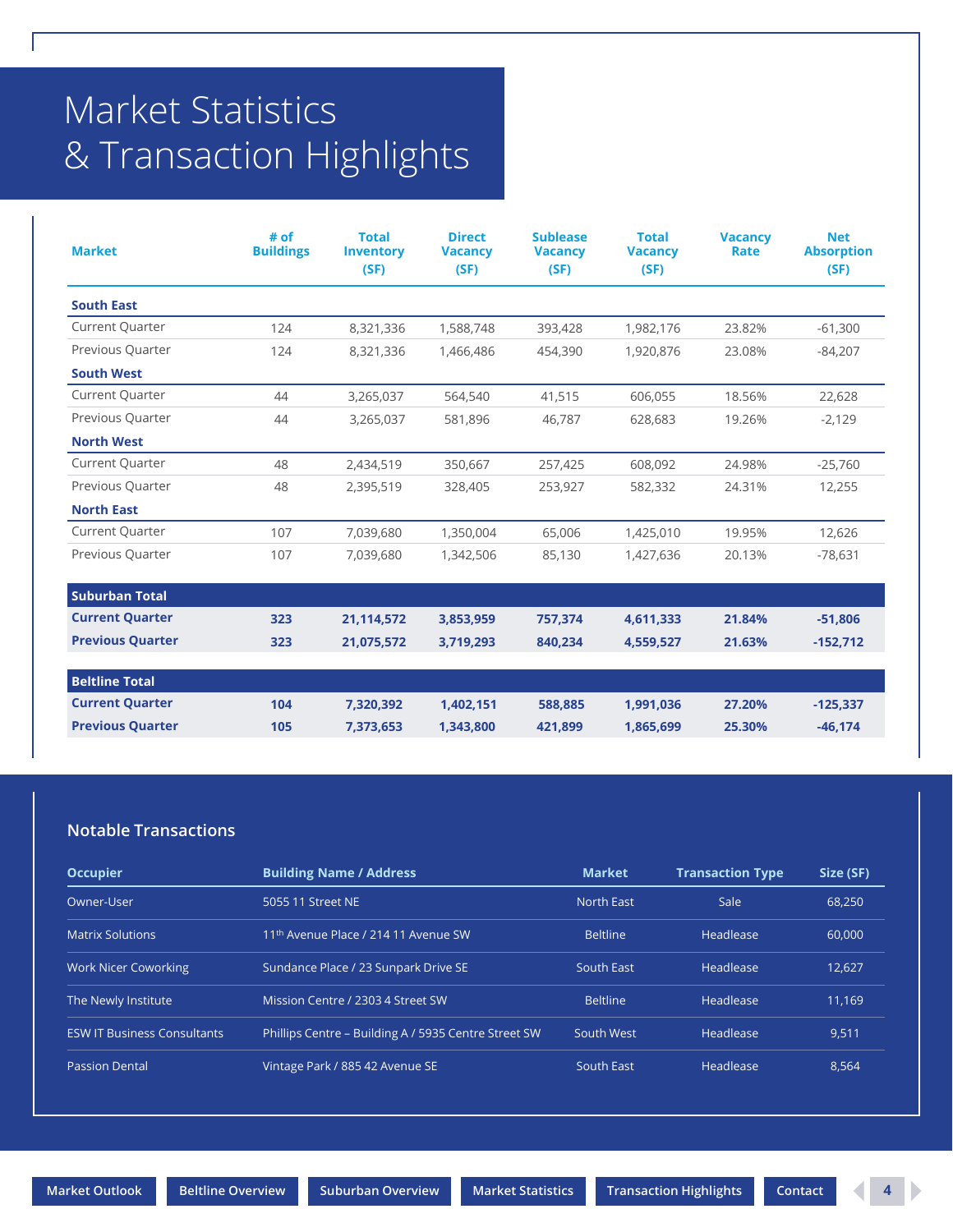## <span id="page-3-0"></span>Market Statistics & Transaction Highlights

| <b>Market</b>           | # of<br><b>Buildings</b> | <b>Total</b><br><b>Inventory</b><br>(SF) | <b>Direct</b><br><b>Vacancy</b><br>(SF) | <b>Sublease</b><br><b>Vacancy</b><br>(SF) | <b>Total</b><br><b>Vacancy</b><br>(SF) | <b>Vacancy</b><br>Rate | <b>Net</b><br><b>Absorption</b><br>(SF) |
|-------------------------|--------------------------|------------------------------------------|-----------------------------------------|-------------------------------------------|----------------------------------------|------------------------|-----------------------------------------|
| <b>South East</b>       |                          |                                          |                                         |                                           |                                        |                        |                                         |
| <b>Current Quarter</b>  | 124                      | 8,321,336                                | 1,588,748                               | 393,428                                   | 1,982,176                              | 23.82%                 | $-61,300$                               |
| Previous Quarter        | 124                      | 8,321,336                                | 1,466,486                               | 454,390                                   | 1,920,876                              | 23.08%                 | $-84,207$                               |
| <b>South West</b>       |                          |                                          |                                         |                                           |                                        |                        |                                         |
| Current Quarter         | 44                       | 3,265,037                                | 564,540                                 | 41,515                                    | 606,055                                | 18.56%                 | 22,628                                  |
| Previous Quarter        | 44                       | 3,265,037                                | 581,896                                 | 46,787                                    | 628,683                                | 19.26%                 | $-2,129$                                |
| <b>North West</b>       |                          |                                          |                                         |                                           |                                        |                        |                                         |
| <b>Current Quarter</b>  | 48                       | 2,434,519                                | 350,667                                 | 257,425                                   | 608,092                                | 24.98%                 | $-25,760$                               |
| Previous Quarter        | 48                       | 2,395,519                                | 328,405                                 | 253,927                                   | 582,332                                | 24.31%                 | 12,255                                  |
| <b>North East</b>       |                          |                                          |                                         |                                           |                                        |                        |                                         |
| <b>Current Quarter</b>  | 107                      | 7,039,680                                | 1,350,004                               | 65,006                                    | 1,425,010                              | 19.95%                 | 12,626                                  |
| Previous Quarter        | 107                      | 7,039,680                                | 1,342,506                               | 85,130                                    | 1,427,636                              | 20.13%                 | $-78,631$                               |
| <b>Suburban Total</b>   |                          |                                          |                                         |                                           |                                        |                        |                                         |
| <b>Current Quarter</b>  | 323                      | 21,114,572                               | 3,853,959                               | 757,374                                   | 4,611,333                              | 21.84%                 | $-51,806$                               |
| <b>Previous Quarter</b> | 323                      | 21,075,572                               | 3,719,293                               | 840,234                                   | 4,559,527                              | 21.63%                 | $-152,712$                              |
| <b>Beltline Total</b>   |                          |                                          |                                         |                                           |                                        |                        |                                         |
| <b>Current Quarter</b>  | 104                      | 7,320,392                                | 1,402,151                               | 588,885                                   | 1,991,036                              | 27.20%                 | $-125,337$                              |
| <b>Previous Quarter</b> | 105                      | 7,373,653                                | 1,343,800                               | 421,899                                   | 1,865,699                              | 25.30%                 | $-46, 174$                              |

### **Notable Transactions**

| <b>Occupier</b>                    | <b>Building Name / Address</b>                       | <b>Market</b>     | <b>Transaction Type</b> | Size (SF) |
|------------------------------------|------------------------------------------------------|-------------------|-------------------------|-----------|
| Owner-User                         | 5055 11 Street NE                                    | <b>North East</b> | Sale                    | 68.250    |
| <b>Matrix Solutions</b>            | 11 <sup>th</sup> Avenue Place / 214 11 Avenue SW     | <b>Beltline</b>   | Headlease               | 60,000    |
| <b>Work Nicer Coworking</b>        | Sundance Place / 23 Sunpark Drive SE                 | South East        | Headlease               | 12.627    |
| The Newly Institute                | Mission Centre / 2303 4 Street SW                    | <b>Beltline</b>   | Headlease               | 11.169    |
| <b>ESW IT Business Consultants</b> | Phillips Centre - Building A / 5935 Centre Street SW | South West        | Headlease               | 9.511     |
| <b>Passion Dental</b>              | Vintage Park / 885 42 Avenue SE                      | South East        | Headlease               | 8.564     |

**[Market Outlook](#page-0-0) [Beltline Overview](#page-1-0) [Suburban Overview](#page-2-0) [Market Statistics](#page-3-0) [Transaction Highlights](#page-3-0) [Contact](#page-4-0) 4**

D